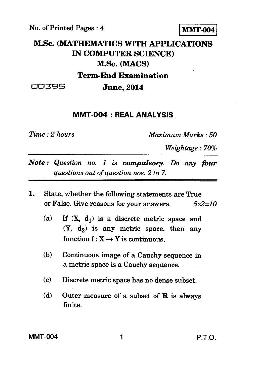No. of Printed Pages :4 **MMT-004** 

## **M.Sc. (MATHEMATICS WITH APPLICATIONS IN COMPUTER SCIENCE) M.Sc. (MACS) Term-End Examination**

00395 **June, 2014** 

## **MMT-004 : REAL ANALYSIS**

*Time : 2 hours Maximum Marks : 50* 

*Weightage : 70%* 

- *Note : Question no. 1 is compulsory. Do any four questions out of question nos. 2 to 7.*
- 1. State, whether the following statements are True or False. Give reasons for your answers. *5x2=10* 
	- (a) If  $(X, d_1)$  is a discrete metric space and  $(Y, d<sub>2</sub>)$  is any metric space, then any function  $f: X \rightarrow Y$  is continuous.
	- (b) Continuous image of a Cauchy sequence in a metric space is a Cauchy sequence.
	- (c) Discrete metric space has no dense subset.
	- (d) Outer measure of a subset of **R** is always finite.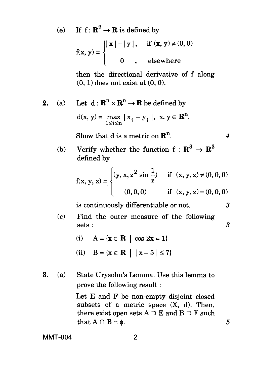(e) If  $f: \mathbb{R}^2 \to \mathbb{R}$  is defined by

$$
f(x, y) = \begin{cases} |x| + |y|, & \text{if } (x, y) \neq (0, 0) \\ 0, & \text{elsewhere} \end{cases}
$$

then the directional derivative of f along (0, **1)** does not exist at (0, 0).

**2.** (a) Let  $d: \mathbb{R}^n \times \mathbb{R}^n \to \mathbb{R}$  be defined by

$$
d(x, y) = \max_{1 \le i \le n} |x_i - y_i|, x, y \in \mathbf{R}^n.
$$

Show that d is a metric on  $\mathbb{R}^n$ .  $\qquad \qquad 4$ 

(b) Verify whether the function  $f : \mathbb{R}^3 \to \mathbb{R}^3$ defined by

$$
f(x, y, z) = \begin{cases} (y, x, z^2 \sin \frac{1}{z}) & \text{if } (x, y, z) \neq (0, 0, 0) \\ (0, 0, 0) & \text{if } (x, y, z) = (0, 0, 0) \end{cases}
$$

is continuously differentiable or not. 3

- (c) Find the outer measure of the following sets :
	- (i)  $A = \{x \in \mathbb{R} \mid \cos 2x = 1\}$
	- (ii)  $B = \{x \in \mathbb{R} \mid |x-5| \leq 7\}$
- **3.** (a) State Urysohn's Lemma. Use this lemma to prove the following result :

Let E and F be non-empty disjoint closed subsets of a metric space  $(X, d)$ . Then, there exist open sets  $A \supset E$  and  $B \supset F$  such that  $A \cap B = \phi$ .

**MMT-004** 2

3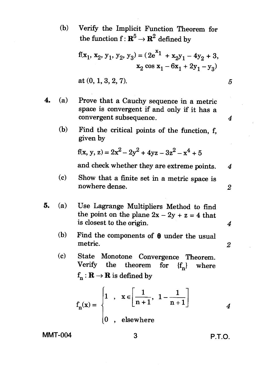(b) Verify the Implicit Function Theorem for the function  $f: \mathbb{R}^5 \to \mathbb{R}^2$  defined by

$$
f(x_1, x_2, y_1, y_2, y_3) = (2e^{x_1} + x_2y_1 - 4y_2 + 3,
$$
  
\n
$$
x_2 \cos x_1 - 6x_1 + 2y_1 - y_3)
$$
  
\nat (0, 1, 3, 2, 7).  
\n5

- **4.** (a) Prove that a Cauchy sequence in a metric space is convergent if and only if it has a convergent subsequence. *4* 
	- (b) Find the critical points of the function, f, given by

$$
f(x, y, z) = 2x^2 - 2y^2 + 4yz - 3z^2 - x^4 + 5
$$

and check whether they are extreme points. 4

- (c) Show that a finite set in a metric space is nowhere dense. 2
- **5.** (a) Use Lagrange Multipliers Method to find the point on the plane  $2x - 2y + z = 4$  that is closest to the origin. *4* 
	- (b) Find the components of  $\theta$  under the usual metric. metric. 2
	- (c) State Monotone Convergence Theorem. theorem for  ${f_n}$  where  $f_n: \mathbf{R} \to \mathbf{R}$  is defined by

$$
f_n(x) = \begin{cases} 1, & x \in \left[\frac{1}{n+1}, 1 - \frac{1}{n+1}\right] \\ 0, & \text{elsewhere} \end{cases}
$$
 4

**MMT-004 3 P.T.O.**